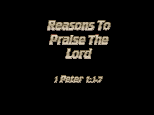

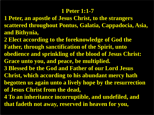#### **1 Peter 1:1-7**

- **1 Peter, an apostle of Jesus Christ, to the strangers scattered throughout Pontus, Galatia, Cappadocia, Asia, and Bithynia,**
- **2 Elect according to the foreknowledge of God the Father, through sanctification of the Spirit, unto obedience and sprinkling of the blood of Jesus Christ: Grace unto you, and peace, be multiplied.**
- **3 Blessed be the God and Father of our Lord Jesus**
- **Christ, which according to his abundant mercy hath begotten us again unto a lively hope by the resurrection**
- **of Jesus Christ from the dead,**
- **4 To an inheritance incorruptible, and undefiled, and that fadeth not away, reserved in heaven for you,**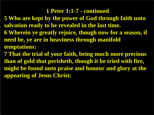#### **1 Peter 1:1-7 - continued**

**5 Who are kept by the power of God through faith unto salvation ready to be revealed in the last time. 6 Wherein ye greatly rejoice, though now for a season, if need be, ye are in heaviness through manifold temptations:**

**7 That the trial of your faith, being much more precious than of gold that perisheth, though it be tried with fire, might be found unto praise and honour and glory at the appearing of Jesus Christ:**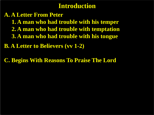### **Introduction**

**A. A Letter From Peter 1. A man who had trouble with his temper 2. A man who had trouble with temptation 3. A man who had trouble with his tongue**

**B. A Letter to Believers (vv 1-2)**

**C. Begins With Reasons To Praise The Lord**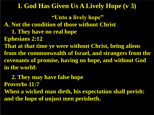**"Unto a lively hope" A. Not the condition of those without Christ 1. They have no real hope Ephesians 2:12 That at that time ye were without Christ, being aliens from the commonwealth of Israel, and strangers from the covenants of promise, having no hope, and without God in the world:**

 **2. They may have false hope Proverbs 11:7 When a wicked man dieth, his expectation shall perish: and the hope of unjust men perisheth.**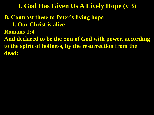**B. Contrast these to Peter's living hope 1. Our Christ is alive Romans 1:4 And declared to be the Son of God with power, according to the spirit of holiness, by the resurrection from the dead:**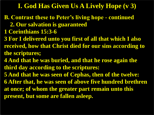- **B. Contrast these to Peter's living hope - continued 2. Our salvation is guaranteed**
- **1 Corinthians 15:3-6**
- **3 For I delivered unto you first of all that which I also received, how that Christ died for our sins according to the scriptures;**
- **4 And that he was buried, and that he rose again the third day according to the scriptures:**
- **5 And that he was seen of Cephas, then of the twelve: 6 After that, he was seen of above five hundred brethren at once; of whom the greater part remain unto this present, but some are fallen asleep.**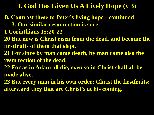**B. Contrast these to Peter's living hope - continued 3. Our similar resurrection is sure 1 Corinthians 15:20-23 20 But now is Christ risen from the dead, and become the firstfruits of them that slept. 21 For since by man came death, by man came also the resurrection of the dead. 22 For as in Adam all die, even so in Christ shall all be made alive. 23 But every man in his own order: Christ the firstfruits; afterward they that are Christ's at his coming.**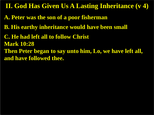**II. God Has Given Us A Lasting Inheritance (v 4)**

- **A. Peter was the son of a poor fisherman**
- **B. His earthy inheritance would have been small**
- **C. He had left all to follow Christ Mark 10:28 Then Peter began to say unto him, Lo, we have left all, and have followed thee.**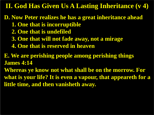**II. God Has Given Us A Lasting Inheritance (v 4)**

**D. Now Peter realizes he has a great inheritance ahead 1. One that is incorruptible**

- **2. One that is undefiled**
- **3. One that will not fade away, not a mirage**
- **4. One that is reserved in heaven**

**E. We are perishing people among perishing things James 4:14**

**Whereas ye know not what shall be on the morrow. For what is your life? It is even a vapour, that appeareth for a little time, and then vanisheth away.**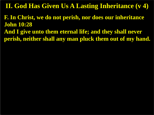**II. God Has Given Us A Lasting Inheritance (v 4)**

**F. In Christ, we do not perish, nor does our inheritance John 10:28 And I give unto them eternal life; and they shall never** 

**perish, neither shall any man pluck them out of my hand.**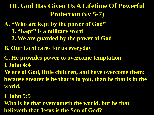# **III. God Has Given Us A Lifetime Of Powerful Protection (vv 5-7)**

- **A. "Who are kept by the power of God"**
	- **1. "Kept" is a military word**
	- **2. We are guarded by the power of God**
- **B. Our Lord cares for us everyday**
- **C. He provides power to overcome temptation 1 John 4:4**
- **Ye are of God, little children, and have overcome them: because greater is he that is in you, than he that is in the world.**
- **1 John 5:5**
- **Who is he that overcometh the world, but he that believeth that Jesus is the Son of God?**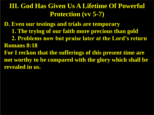# **III. God Has Given Us A Lifetime Of Powerful Protection (vv 5-7)**

**D. Even our testings and trials are temporary 1. The trying of our faith more precious than gold 2. Problems now but praise later at the Lord's return Romans 8:18 For I reckon that the sufferings of this present time are not worthy to be compared with the glory which shall be revealed in us.**